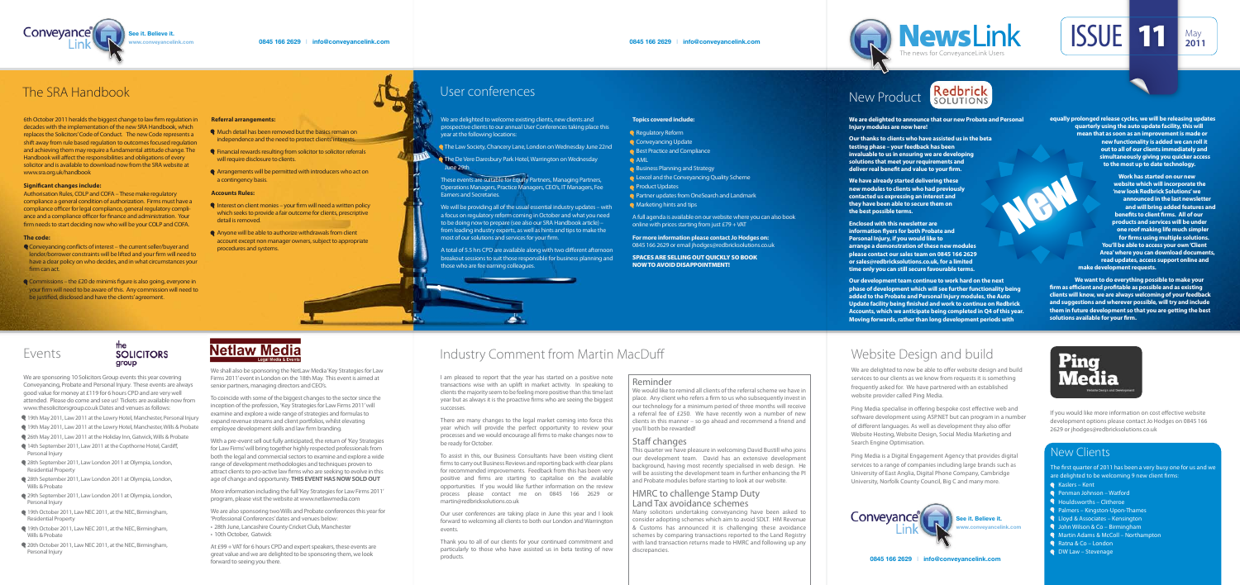**0845 166 2629** I **info@conveyancelink.com**





# Industry Comment from Martin MacDu

I am pleased to report that the year has started on a positive note transactions wise with an uplift in market activity. In speaking to clients the majority seem to be feeling more positive than this time last year but as always it is the proactive firms who are seeing the biggest successes.

There are many changes to the legal market coming into force this year which will provide the perfect opportunity to review your processes and we would encourage all firms to make changes now to be ready for October.

To assist in this, our Business Consultants have been visiting client firms to carry out Business Reviews and reporting back with clear plans for recommended improvements. Feedback from this has been very positive and firms are starting to capitalise on the available opportunities. If you would like further information on the review process please contact me on 0845 166 2629 or martin@redbricksolutions.co.uk

Our user conferences are taking place in June this year and I look forward to welcoming all clients to both our London and Warrington events.

Thank you to all of our clients for your continued commitment and particularly to those who have assisted us in beta testing of new products.

### Reminder

We would like to remind all clients of the referral scheme we have in place. Any client who refers a firm to us who subsequently invest in our technology for a minimum period of three months will receive a referral fee of £250. We have recently won a number of new clients in this manner – so go ahead and recommend a friend and you'll both be rewarded!

### Staff changes

This quarter we have pleasure in welcoming David Bustill who joins our development team. David has an extensive development background, having most recently specialised in web design. He will be assisting the development team in further enhancing the PI and Probate modules before starting to look at our website.

### HMRC to challenge Stamp Duty Land Tax avoidance schemes

6th October 2011 heralds the biggest change to law firm regulation in decades with the implementation of the new SRA Handbook, which replaces the Solicitors' Code of Conduct. The new Code represents a shift away from rule based regulation to outcomes focused regulation and achieving them may require a fundamental attitude change. The Handbook will affect the responsibilities and obligations of every solicitor and is available to download now from the SRA website at www.sra.org.uk/handbook

#### **Significant changes include:**

Authorisation Rules, COLP and COFA – These make regulatory compliance a general condition of authorization. Firms must have a compliance officer for legal compliance, general regulatory compliance and a compliance officer for finance and administration. Your firm needs to start deciding now who will be your COLP and COFA.

> Many solicitors undertaking conveyancing have been asked to consider adopting schemes which aim to avoid SDLT. HM Revenue & Customs has announced it is challenging these avoidance schemes by comparing transactions reported to the Land Registry with land transaction returns made to HMRC and following up any discrepancies.





### Redbrick New Product

# Events

### **SOLICITORS** group

- **Whe** Much detail has been removed but the basics remain on independence and the need to protect clients' interests.
- Financial rewards resulting from solicitor to solicitor referrals will require disclosure to clients.
- Arrangements will be permitted with introducers who act on a contingency basis.

We are sponsoring 10 Solicitors Group events this year covering Conveyancing, Probate and Personal Injury. These events are always good value for money at £119 for 6 hours CPD and are very well attended. Please do come and see us! Tickets are available now from www.thesolicitorsgroup.co.uk Dates and venues as follows:

- **19th May 2011, Law 2011 at the Lowry Hotel, Manchester, Personal Injury**
- 19th May 2011, Law 2011 at the Lowry Hotel, Manchester, Wills & Probate
- 26th May 2011, Law 2011 at the Holiday Inn, Gatwick, Wills & Probate
- 14th September 2011, Law 2011 at the Copthorne Hotel, Cardiff, Personal Injury
- 28th September 2011, Law London 2011 at Olympia, London, Residential Property
- 28th September 2011, Law London 2011 at Olympia, London, Wills & Probate
- 29th September 2011, Law London 2011 at Olympia, London, Personal Injury
- 19th October 2011, Law NEC 2011, at the NEC, Birmingham, Residential Property
- <sup>1</sup> 19th October 2011, Law NEC 2011, at the NEC, Birmingham, Wills & Probate
- 20th October 2011, Law NEC 2011, at the NEC, Birmingham, Personal Injury

# **Netlaw Media**

- $\bullet$  Interest on client monies your firm will need a written policy which seeks to provide a fair outcome for clients, prescriptive detail is removed.
- Anyone will be able to authorize withdrawals from client account except non manager owners, subject to appropriate procedures and systems.

We are delighted to now be able to offer website design and build services to our clients as we know from requests it is something frequently asked for. We have partnered with an established website provider called Ping Media.

Ping Media specialise in offering bespoke cost effective web and software development using ASP.NET but can program in a number of different languages. As well as development they also offer Website Hosting, Website Design, Social Media Marketing and Search Engine Optimisation.

If you would like more information on cost effective website development options please contact Jo Hodges on 0845 166 2629 or jhodges@redbricksolutions.co.uk

**Our thanks to clients who have assisted us in the beta testing phase – your feedback has been invaluable to us in ensuring we are developing solutions that meet your requirements and**  deliver real benefit and value to your firm.

> **We want to do everything possible to make your**  firm as efficient and profitable as possible and as existing **clients will know, we are always welcoming of your feedback and suggestions and wherever possible, will try and include them in future development so that you are getting the best**  solutions available for your firm.

- Penman Johnson Watford
- Houldsworths Clitheroe
- **Palmers Kingston-Upon-Thames**
- Lloyd & Associates Kensington
- **Q** John Wilson & Co Birmingham
- **WARKIM** Martin Adams & McColl Northampton
- Ratna & Co London
- **Q** DW Law Stevenage

#### **The code:**

- $\bullet$  Conveyancing conflicts of interest the current seller/buyer and lender/borrower constraints will be lifted and your firm will need to have a clear policy on who decides, and in what circumstances your firm can act.
- $\triangleleft$  Commissions the £20 de minimis figure is also going, everyone in your firm will need to be aware of this. Any commission will need to be justified, disclosed and have the clients' agreement.

To coincide with some of the biggest changes to the sector since the inception of the profession, 'Key Strategies for Law Firms 2011' will examine and explore a wide range of strategies and formulas to expand revenue streams and client portfolios, whilst elevating employee development skills and law firm branding.

### **Referral arrangements:**

### **Accounts Rules:**

We are delighted to welcome existing clients, new clients and prospective clients to our annual User Conferences taking place this year at the following locations:

- **Q** The Law Society, Chancery Lane, London on Wednesday June 22nd
- **The De Vere Daresbury Park Hotel, Warrington on Wednesday** June 29th

### The SRA Handbook

# Website Design and build

A total of 5.5 hrs CPD are available along with two different afternoon breakout sessions to suit those responsible for business planning and those who are fee earning colleagues.

> Ping Media is a Digital Engagement Agency that provides digital services to a range of companies including large brands such as University of East Anglia, Digital Phone Company, Cambridge University, Norfolk County Council, Big C and many more.

**We are delighted to announce that our new Probate and Personal Injury modules are now here!**

**We have already started delivering these new modules to clients who had previously contacted us expressing an interest and they have been able to secure them on the best possible terms.**

**Enclosed with this newsletter are information flyers for both Probate and Personal Injury, if you would like to arrange a demonstration of these new modules please contact our sales team on 0845 166 2629 or sales@redbricksolutions.co.uk, for a limited time only you can still secure favourable terms.**

**Our development team continue to work hard on the next phase of development which will see further functionality being added to the Probate and Personal Injury modules, the Auto Update facility being finished and work to continue on Redbrick Accounts, which we anticipate being completed in Q4 of this year. Moving forwards, rather than long development periods with** 

**equally prolonged release cycles, we will be releasing updates quarterly using the auto update facility, this will mean that as soon as an improvement is made or new functionality is added we can roll it out to all of our clients immediately and simultaneously giving you quicker access to the most up to date technology.** 

**ISSUE 11** May 1

**Work has started on our new website which will incorporate the 'new look Redbrick Solutions' we announced in the last newsletter and will bring added features and benefits to client firms. All of our products and services will be under one roof making life much simpler**  for firms using multiple solutions. **You'll be able to access your own 'Client Area' where you can download documents, read updates, access support online and make development requests.**

New

### New Clients

The first quarter of 2011 has been a very busy one for us and we are delighted to be welcoming 9 new client firms:

Kaslers – Kent

We shall also be sponsoring the NetLaw Media 'Key Strategies for Law Firms 2011' event in London on the 18th May. This event is aimed at senior partners, managing directors and CEO's.

With a pre-event sell out fully anticipated, the return of 'Key Strategies for Law Firms' will bring together highly respected professionals from both the legal and commercial sectors to examine and explore a wide range of development methodologies and techniques proven to attract clients to pro-active law firms who are seeking to evolve in this age of change and opportunity. **THIS EVENT HAS NOW SOLD OUT**

More information including the full 'Key Strategies for Law Firms 2011' program, please visit the website at www.netlawmedia.com

We are also sponsoring two Wills and Probate conferences this year for 'Professional Conferences' dates and venues below:

- 28th June, Lancashire County Cricket Club, Manchester
- 10th October, Gatwick

At £99 + VAT for 6 hours CPD and expert speakers, these events are great value and we are delighted to be sponsoring them, we look forward to seeing you there.

These events are suitable for Equity Partners, Managing Partners, Operations Managers, Practice Managers, CEO's, IT Managers, Fee Earners and Secretaries.

We will be providing all of the usual essential industry updates – with a focus on regulatory reform coming in October and what you need to be doing now to prepare (see also our SRA Handbook article) – from leading industry experts, as well as hints and tips to make the most of our solutions and services for your firm.

**Topics covered include:**

**Business Planning and Strategy** 

**Q** Lexcel and the Conveyancing Quality Scheme

**Partner updates from OneSearch and Landmark** 

online with prices starting from just  $£79 + VAT$ 

A full agenda is available on our website where you can also book

Regulatory Reform **Conveyancing Update** Best Practice and Compliance

**Product Updates** 

**Marketing hints and tips** 

**AML** 

**For more information please contact Jo Hodges on:**  0845 166 2629 or email jhodges@redbricksolutions.co.uk

SPACES ARE SELLING OUT QUICKLY SO BOOK

NOW TO AVOID DISAPPOINTMENT!

# User conferences